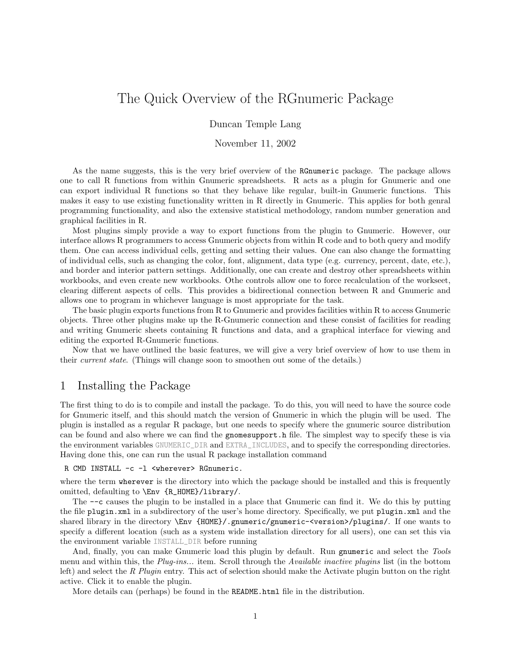# The Quick Overview of the RGnumeric Package

Duncan Temple Lang

#### November 11, 2002

As the name suggests, this is the very brief overview of the RGnumeric package. The package allows one to call R functions from within Gnumeric spreadsheets. R acts as a plugin for Gnumeric and one can export individual R functions so that they behave like regular, built-in Gnumeric functions. This makes it easy to use existing functionality written in R directly in Gnumeric. This applies for both genral programming functionality, and also the extensive statistical methodology, random number generation and graphical facilities in R.

Most plugins simply provide a way to export functions from the plugin to Gnumeric. However, our interface allows R programmers to access Gnumeric objects from within R code and to both query and modify them. One can access individual cells, getting and setting their values. One can also change the formatting of individual cells, such as changing the color, font, alignment, data type (e.g. currency, percent, date, etc.), and border and interior pattern settings. Additionally, one can create and destroy other spreadsheets within workbooks, and even create new workbooks. Othe controls allow one to force recalculation of the workseet, clearing different aspects of cells. This provides a bidirectional connection between R and Gnumeric and allows one to program in whichever language is most appropriate for the task.

The basic plugin exports functions from R to Gnumeric and provides facilities within R to access Gnumeric objects. Three other plugins make up the R-Gnumeric connection and these consist of facilities for reading and writing Gnumeric sheets containing R functions and data, and a graphical interface for viewing and editing the exported R-Gnumeric functions.

Now that we have outlined the basic features, we will give a very brief overview of how to use them in their current state. (Things will change soon to smoothen out some of the details.)

### 1 Installing the Package

The first thing to do is to compile and install the package. To do this, you will need to have the source code for Gnumeric itself, and this should match the version of Gnumeric in which the plugin will be used. The plugin is installed as a regular R package, but one needs to specify where the gnumeric source distribution can be found and also where we can find the gnomesupport.h file. The simplest way to specify these is via the environment variables GNUMERIC\_DIR and EXTRA\_INCLUDES, and to specify the corresponding directories. Having done this, one can run the usual R package installation command

#### R CMD INSTALL -c -l <wherever> RGnumeric.

where the term wherever is the directory into which the package should be installed and this is frequently omitted, defaulting to \Env {R\_HOME}/library/.

The --c causes the plugin to be installed in a place that Gnumeric can find it. We do this by putting the file plugin.xml in a subdirectory of the user's home directory. Specifically, we put plugin.xml and the shared library in the directory \Env {HOME}/.gnumeric/gnumeric-<version>/plugins/. If one wants to specify a different location (such as a system wide installation directory for all users), one can set this via the environment variable INSTALL\_DIR before running

And, finally, you can make Gnumeric load this plugin by default. Run gnumeric and select the Tools menu and within this, the Plug-ins... item. Scroll through the Available inactive plugins list (in the bottom left) and select the R Plugin entry. This act of selection should make the Activate plugin button on the right active. Click it to enable the plugin.

More details can (perhaps) be found in the README.html file in the distribution.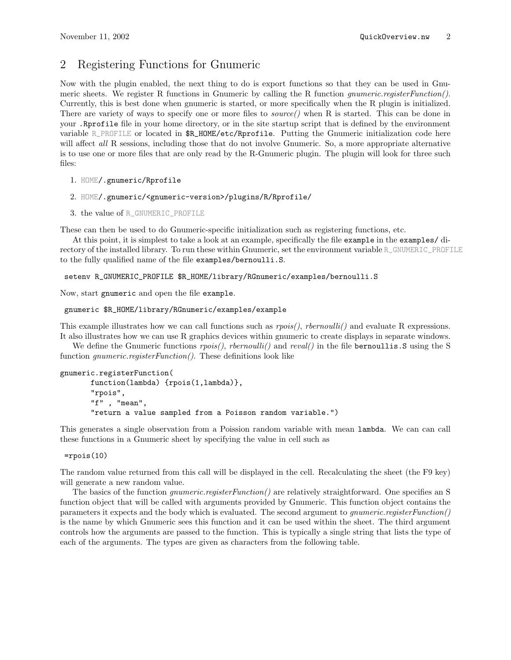## 2 Registering Functions for Gnumeric

Now with the plugin enabled, the next thing to do is export functions so that they can be used in Gnumeric sheets. We register R functions in Gnumeric by calling the R function *gnumeric.registerFunction*(). Currently, this is best done when gnumeric is started, or more specifically when the R plugin is initialized. There are variety of ways to specify one or more files to *source*() when R is started. This can be done in your .Rprofile file in your home directory, or in the site startup script that is defined by the environment variable R\_PROFILE or located in \$R\_HOME/etc/Rprofile. Putting the Gnumeric initialization code here will affect all R sessions, including those that do not involve Gnumeric. So, a more appropriate alternative is to use one or more files that are only read by the R-Gnumeric plugin. The plugin will look for three such files:

```
1. HOME/.gnumeric/Rprofile
```

```
2. HOME/.gnumeric/<gnumeric-version>/plugins/R/Rprofile/
```

```
3. the value of R_GNUMERIC_PROFILE
```
These can then be used to do Gnumeric-specific initialization such as registering functions, etc.

At this point, it is simplest to take a look at an example, specifically the file example in the examples/ directory of the installed library. To run these within Gnumeric, set the environment variable R\_GNUMERIC\_PROFILE to the fully qualified name of the file examples/bernoulli.S.

setenv R\_GNUMERIC\_PROFILE \$R\_HOME/library/RGnumeric/examples/bernoulli.S

Now, start gnumeric and open the file example.

```
gnumeric $R_HOME/library/RGnumeric/examples/example
```
This example illustrates how we can call functions such as  $rpois(),$  rbernoulli() and evaluate R expressions. It also illustrates how we can use R graphics devices within gnumeric to create displays in separate windows.

We define the Gnumeric functions  $rpois(),$  rbernoulli() and reval() in the file bernoullis. Susing the S function *gnumeric.registerFunction*(). These definitions look like

```
gnumeric.registerFunction(
```

```
function(lambda) {rpois(1,lambda)},
"rpois",
"f" , "mean",
"return a value sampled from a Poisson random variable.")
```
This generates a single observation from a Poission random variable with mean lambda. We can can call these functions in a Gnumeric sheet by specifying the value in cell such as

```
=rpois(10)
```
The random value returned from this call will be displayed in the cell. Recalculating the sheet (the F9 key) will generate a new random value.

The basics of the function *gnumeric.registerFunction*() are relatively straightforward. One specifies an S function object that will be called with arguments provided by Gnumeric. This function object contains the parameters it expects and the body which is evaluated. The second argument to gnumeric.registerFunction() is the name by which Gnumeric sees this function and it can be used within the sheet. The third argument controls how the arguments are passed to the function. This is typically a single string that lists the type of each of the arguments. The types are given as characters from the following table.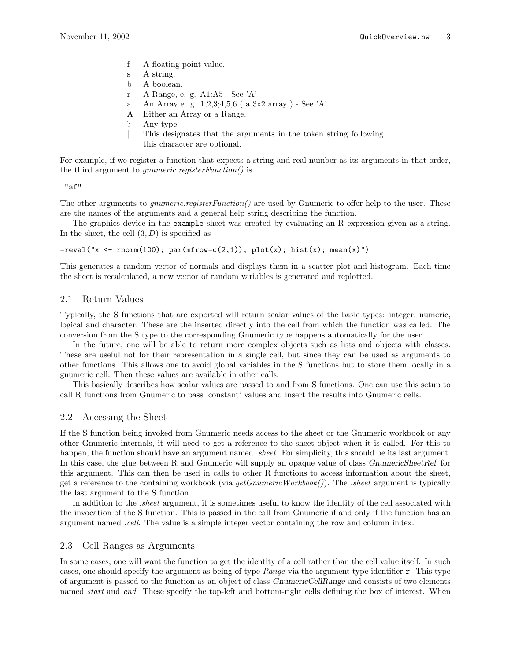- f A floating point value.
- s A string.
- b A boolean.
- r A Range, e. g. A1:A5 See 'A'
- a An Array e. g. 1,2,3;4,5,6 ( a 3x2 array ) See 'A'
- A Either an Array or a Range.
- ? Any type.
- | This designates that the arguments in the token string following this character are optional.

For example, if we register a function that expects a string and real number as its arguments in that order, the third argument to gnumeric.registerFunction() is

"sf"

The other arguments to *gnumeric.registerFunction*() are used by Gnumeric to offer help to the user. These are the names of the arguments and a general help string describing the function.

The graphics device in the example sheet was created by evaluating an R expression given as a string. In the sheet, the cell  $(3, D)$  is specified as

 $=$ reval("x <- rnorm(100); par(mfrow=c(2,1)); plot(x); hist(x); mean(x)")

This generates a random vector of normals and displays them in a scatter plot and histogram. Each time the sheet is recalculated, a new vector of random variables is generated and replotted.

#### 2.1 Return Values

Typically, the S functions that are exported will return scalar values of the basic types: integer, numeric, logical and character. These are the inserted directly into the cell from which the function was called. The conversion from the S type to the corresponding Gnumeric type happens automatically for the user.

In the future, one will be able to return more complex objects such as lists and objects with classes. These are useful not for their representation in a single cell, but since they can be used as arguments to other functions. This allows one to avoid global variables in the S functions but to store them locally in a gnumeric cell. Then these values are available in other calls.

This basically describes how scalar values are passed to and from S functions. One can use this setup to call R functions from Gnumeric to pass 'constant' values and insert the results into Gnumeric cells.

#### 2.2 Accessing the Sheet

If the S function being invoked from Gnumeric needs access to the sheet or the Gnumeric workbook or any other Gnumeric internals, it will need to get a reference to the sheet object when it is called. For this to happen, the function should have an argument named *sheet*. For simplicity, this should be its last argument. In this case, the glue between R and Gnumeric will supply an opaque value of class GnumericSheetRef for this argument. This can then be used in calls to other R functions to access information about the sheet, get a reference to the containing workbook (via  $getGnumericWorkbook()$ ). The sheet argument is typically the last argument to the S function.

In addition to the *.sheet* argument, it is sometimes useful to know the identity of the cell associated with the invocation of the S function. This is passed in the call from Gnumeric if and only if the function has an argument named .cell. The value is a simple integer vector containing the row and column index.

#### 2.3 Cell Ranges as Arguments

In some cases, one will want the function to get the identity of a cell rather than the cell value itself. In such cases, one should specify the argument as being of type Range via the argument type identifier r. This type of argument is passed to the function as an object of class GnumericCellRange and consists of two elements named *start* and *end*. These specify the top-left and bottom-right cells defining the box of interest. When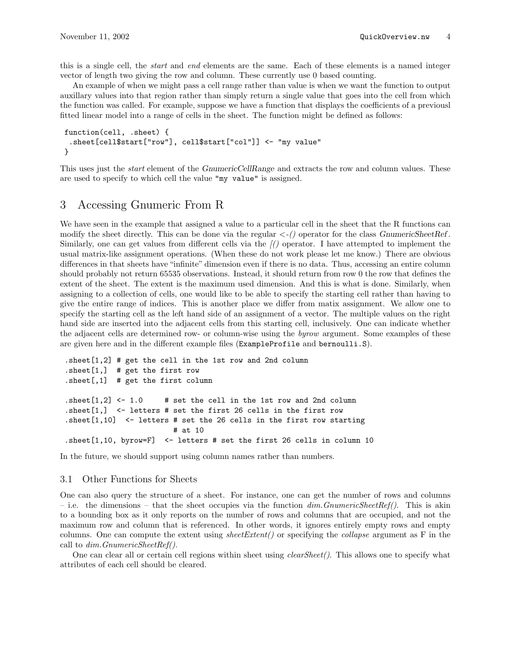this is a single cell, the start and end elements are the same. Each of these elements is a named integer vector of length two giving the row and column. These currently use 0 based counting.

An example of when we might pass a cell range rather than value is when we want the function to output auxillary values into that region rather than simply return a single value that goes into the cell from which the function was called. For example, suppose we have a function that displays the coefficients of a previousl fitted linear model into a range of cells in the sheet. The function might be defined as follows:

```
function(cell, .sheet) {
 .sheet[cell$start["row"], cell$start["col"]] <- "my value"
}
```
This uses just the *start* element of the GnumericCellRange and extracts the row and column values. These are used to specify to which cell the value "my value" is assigned.

### 3 Accessing Gnumeric From R

We have seen in the example that assigned a value to a particular cell in the sheet that the R functions can modify the sheet directly. This can be done via the regular  $\langle -\rangle$  operator for the class GnumericSheetRef. Similarly, one can get values from different cells via the [() operator. I have attempted to implement the usual matrix-like assignment operations. (When these do not work please let me know.) There are obvious differences in that sheets have "infinite" dimension even if there is no data. Thus, accessing an entire column should probably not return 65535 observations. Instead, it should return from row 0 the row that defines the extent of the sheet. The extent is the maximum used dimension. And this is what is done. Similarly, when assigning to a collection of cells, one would like to be able to specify the starting cell rather than having to give the entire range of indices. This is another place we differ from matix assignment. We allow one to specify the starting cell as the left hand side of an assignment of a vector. The multiple values on the right hand side are inserted into the adjacent cells from this starting cell, inclusively. One can indicate whether the adjacent cells are determined row- or column-wise using the byrow argument. Some examples of these are given here and in the different example files (ExampleProfile and bernoulli.S).

```
.sheet[1,2] # get the cell in the 1st row and 2nd column
.sheet[1,] # get the first row
.sheet[,1] # get the first column
.sheet[1,2] <- 1.0 # set the cell in the 1st row and 2nd column
.sheet[1,] <- letters # set the first 26 cells in the first row
.sheet[1,10] <- letters # set the 26 cells in the first row starting
                        # at 10
.sheet[1,10, byrow=F] <- letters # set the first 26 cells in column 10
```
In the future, we should support using column names rather than numbers.

#### 3.1 Other Functions for Sheets

One can also query the structure of a sheet. For instance, one can get the number of rows and columns – i.e. the dimensions – that the sheet occupies via the function  $\dim G_n$  municipalet Ref(). This is akin to a bounding box as it only reports on the number of rows and columns that are occupied, and not the maximum row and column that is referenced. In other words, it ignores entirely empty rows and empty columns. One can compute the extent using sheetExtent() or specifying the collapse argument as  $F$  in the call to  $dim.GnumericSheetRef()$ .

One can clear all or certain cell regions within sheet using  $clearSheet$ . This allows one to specify what attributes of each cell should be cleared.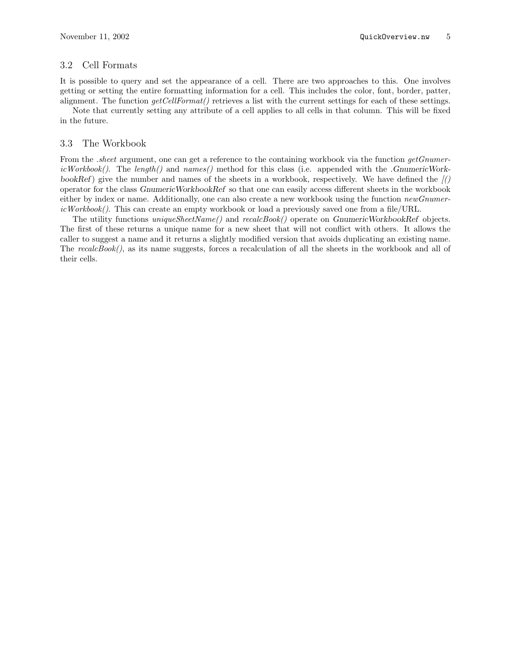### 3.2 Cell Formats

It is possible to query and set the appearance of a cell. There are two approaches to this. One involves getting or setting the entire formatting information for a cell. This includes the color, font, border, patter, alignment. The function  $getCellFormat()$  retrieves a list with the current settings for each of these settings.

Note that currently setting any attribute of a cell applies to all cells in that column. This will be fixed in the future.

#### 3.3 The Workbook

From the .sheet argument, one can get a reference to the containing workbook via the function getGnumericWorkbook(). The length() and names() method for this class (i.e. appended with the .GnumericWorkbookRef) give the number and names of the sheets in a workbook, respectively. We have defined the  $\sqrt{(}$ operator for the class GnumericWorkbookRef so that one can easily access different sheets in the workbook either by index or name. Additionally, one can also create a new workbook using the function newGnumer $icWorkbook()$ . This can create an empty workbook or load a previously saved one from a file/URL.

The utility functions uniqueSheetName() and recalcBook() operate on GnumericWorkbookRef objects. The first of these returns a unique name for a new sheet that will not conflict with others. It allows the caller to suggest a name and it returns a slightly modified version that avoids duplicating an existing name. The recalcBook(), as its name suggests, forces a recalculation of all the sheets in the workbook and all of their cells.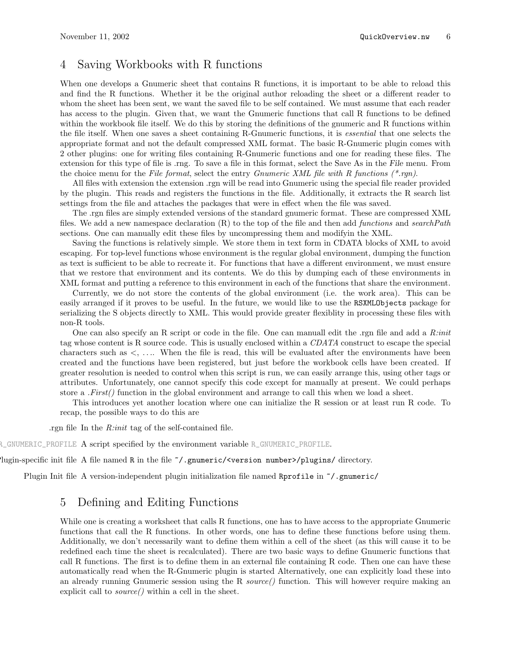## 4 Saving Workbooks with R functions

When one develops a Gnumeric sheet that contains R functions, it is important to be able to reload this and find the R functions. Whether it be the original author reloading the sheet or a different reader to whom the sheet has been sent, we want the saved file to be self contained. We must assume that each reader has access to the plugin. Given that, we want the Gnumeric functions that call R functions to be defined within the workbook file itself. We do this by storing the definitions of the gnumeric and R functions within the file itself. When one saves a sheet containing R-Gnumeric functions, it is essential that one selects the appropriate format and not the default compressed XML format. The basic R-Gnumeric plugin comes with 2 other plugins: one for writing files containing R-Gnumeric functions and one for reading these files. The extension for this type of file is .rng. To save a file in this format, select the Save As in the File menu. From the choice menu for the File format, select the entry Gnumeric XML file with R functions  $(*\eta n)$ .

All files with extension the extension .rgn will be read into Gnumeric using the special file reader provided by the plugin. This reads and registers the functions in the file. Additionally, it extracts the R search list settings from the file and attaches the packages that were in effect when the file was saved.

The .rgn files are simply extended versions of the standard gnumeric format. These are compressed XML files. We add a new namespace declaration  $(R)$  to the top of the file and then add functions and searchPath sections. One can manually edit these files by uncompressing them and modifyin the XML.

Saving the functions is relatively simple. We store them in text form in CDATA blocks of XML to avoid escaping. For top-level functions whose environment is the regular global environment, dumping the function as text is sufficient to be able to recreate it. For functions that have a different environment, we must ensure that we restore that environment and its contents. We do this by dumping each of these environments in XML format and putting a reference to this environment in each of the functions that share the environment.

Currently, we do not store the contents of the global environment (i.e. the work area). This can be easily arranged if it proves to be useful. In the future, we would like to use the RSXMLObjects package for serializing the S objects directly to XML. This would provide greater flexiblity in processing these files with non-R tools.

One can also specify an R script or code in the file. One can manuall edit the rgn file and add a R:init tag whose content is R source code. This is usually enclosed within a CDATA construct to escape the special characters such as  $\lt$ , .... When the file is read, this will be evaluated after the environments have been created and the functions have been registered, but just before the workbook cells have been created. If greater resolution is needed to control when this script is run, we can easily arrange this, using other tags or attributes. Unfortunately, one cannot specify this code except for manually at present. We could perhaps store a  $First()$  function in the global environment and arrange to call this when we load a sheet.

This introduces yet another location where one can initialize the R session or at least run R code. To recap, the possible ways to do this are

.rgn file In the R:init tag of the self-contained file.

R\_GNUMERIC\_PROFILE A script specified by the environment variable R\_GNUMERIC\_PROFILE.

lugin-specific init file A file named R in the file  $\gamma$ .gnumeric/<version number>/plugins/ directory.

Plugin Init file A version-independent plugin initialization file named Rprofile in ~/.gnumeric/

## 5 Defining and Editing Functions

While one is creating a worksheet that calls R functions, one has to have access to the appropriate Gnumeric functions that call the R functions. In other words, one has to define these functions before using them. Additionally, we don't necessarily want to define them within a cell of the sheet (as this will cause it to be redefined each time the sheet is recalculated). There are two basic ways to define Gnumeric functions that call R functions. The first is to define them in an external file containing R code. Then one can have these automatically read when the R-Gnumeric plugin is started Alternatively, one can explicitly load these into an already running Gnumeric session using the R source() function. This will however require making an explicit call to  $source()$  within a cell in the sheet.